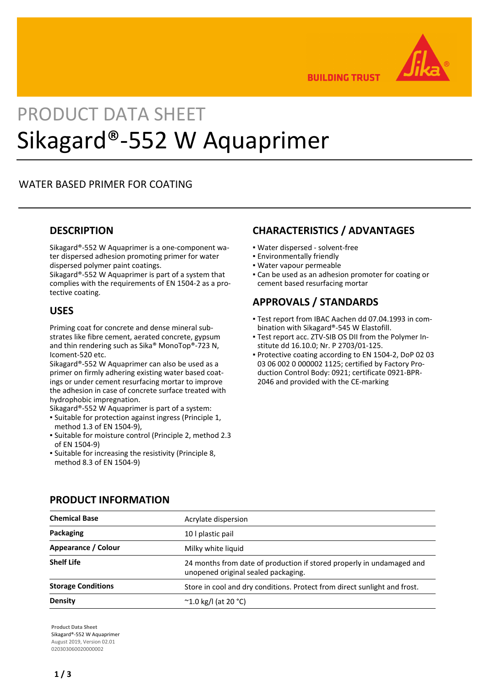

**BUILDING TRUST** 

# PRODUCT DATA SHEET Sikagard®-552 W Aquaprimer

## WATER BASED PRIMER FOR COATING

## **DESCRIPTION**

Sikagard®-552 W Aquaprimer is a one-component water dispersed adhesion promoting primer for water dispersed polymer paint coatings.

Sikagard®-552 W Aquaprimer is part of a system that complies with the requirements of EN 1504-2 as a protective coating.

## **USES**

Priming coat for concrete and dense mineral substrates like fibre cement, aerated concrete, gypsum and thin rendering such as Sika® MonoTop®-723 N, Icoment-520 etc.

Sikagard®-552 W Aquaprimer can also be used as a primer on firmly adhering existing water based coatings or under cement resurfacing mortar to improve the adhesion in case of concrete surface treated with hydrophobic impregnation.

Sikagard®-552 W Aquaprimer is part of a system:

- Suitable for protection against ingress (Principle 1, method 1.3 of EN 1504-9),
- Suitable for moisture control (Principle 2, method 2.3 of EN 1504-9)
- **.** Suitable for increasing the resistivity (Principle 8, method 8.3 of EN 1504-9)

## **CHARACTERISTICS / ADVANTAGES**

- Water dispersed solvent-free
- Environmentally friendly
- Water vapour permeable
- Can be used as an adhesion promoter for coating or cement based resurfacing mortar

## **APPROVALS / STANDARDS**

- Test report from IBAC Aachen dd 07.04.1993 in com-▪ bination with Sikagard®-545 W Elastofill.
- Test report acc. ZTV-SIB OS DII from the Polymer In-▪ stitute dd 16.10.0; Nr. P 2703/01-125.
- **Protective coating according to EN 1504-2, DoP 02 03** 03 06 002 0 000002 1125; certified by Factory Production Control Body: 0921; certificate 0921-BPR-2046 and provided with the CE-marking

| <b>Chemical Base</b>      | Acrylate dispersion                                                                                          |  |
|---------------------------|--------------------------------------------------------------------------------------------------------------|--|
| Packaging                 | 10   plastic pail                                                                                            |  |
| Appearance / Colour       | Milky white liquid                                                                                           |  |
| <b>Shelf Life</b>         | 24 months from date of production if stored properly in undamaged and<br>unopened original sealed packaging. |  |
| <b>Storage Conditions</b> | Store in cool and dry conditions. Protect from direct sunlight and frost.                                    |  |
| Density                   | $^{\circ}$ 1.0 kg/l (at 20 °C)                                                                               |  |

## **PRODUCT INFORMATION**

**Product Data Sheet** Sikagard®-552 W Aquaprimer August 2019, Version 02.01 020303060020000002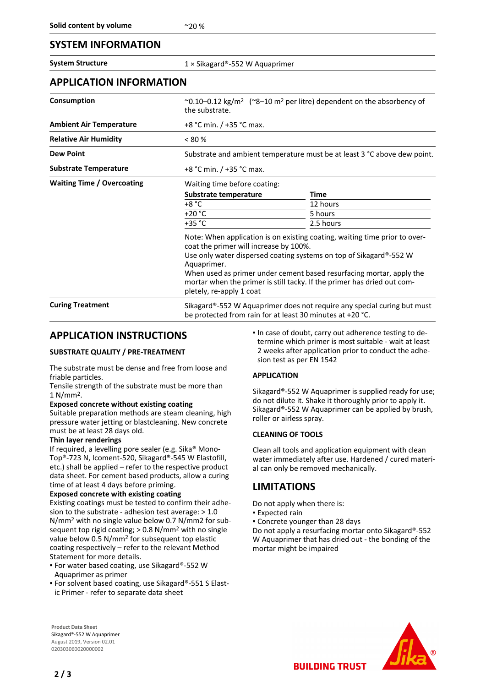## **SYSTEM INFORMATION**

**System Structure** 1 × Sikagard®-552 W Aquaprimer

### **APPLICATION INFORMATION**

| Consumption                       | $\sim$ 0.10–0.12 kg/m <sup>2</sup> ( $\sim$ 8–10 m <sup>2</sup> per litre) dependent on the absorbency of<br>the substrate.                                                                                                                                                                                                                                                              |           |  |
|-----------------------------------|------------------------------------------------------------------------------------------------------------------------------------------------------------------------------------------------------------------------------------------------------------------------------------------------------------------------------------------------------------------------------------------|-----------|--|
| <b>Ambient Air Temperature</b>    | +8 °C min. / +35 °C max.                                                                                                                                                                                                                                                                                                                                                                 |           |  |
| <b>Relative Air Humidity</b>      | $< 80\%$                                                                                                                                                                                                                                                                                                                                                                                 |           |  |
| <b>Dew Point</b>                  | Substrate and ambient temperature must be at least 3 °C above dew point.                                                                                                                                                                                                                                                                                                                 |           |  |
| <b>Substrate Temperature</b>      | +8 °C min. / +35 °C max.                                                                                                                                                                                                                                                                                                                                                                 |           |  |
| <b>Waiting Time / Overcoating</b> | Waiting time before coating:                                                                                                                                                                                                                                                                                                                                                             |           |  |
|                                   | Substrate temperature                                                                                                                                                                                                                                                                                                                                                                    | Time      |  |
|                                   | $+8 °C$                                                                                                                                                                                                                                                                                                                                                                                  | 12 hours  |  |
|                                   | $+20 °C$                                                                                                                                                                                                                                                                                                                                                                                 | 5 hours   |  |
|                                   | $+35 °C$                                                                                                                                                                                                                                                                                                                                                                                 | 2.5 hours |  |
|                                   | Note: When application is on existing coating, waiting time prior to over-<br>coat the primer will increase by 100%.<br>Use only water dispersed coating systems on top of Sikagard®-552 W<br>Aquaprimer.<br>When used as primer under cement based resurfacing mortar, apply the<br>mortar when the primer is still tacky. If the primer has dried out com-<br>pletely, re-apply 1 coat |           |  |
| <b>Curing Treatment</b>           | Sikagard®-552 W Aquaprimer does not require any special curing but must<br>be protected from rain for at least 30 minutes at +20 °C.                                                                                                                                                                                                                                                     |           |  |

## **APPLICATION INSTRUCTIONS**

#### **SUBSTRATE QUALITY / PRE-TREATMENT**

The substrate must be dense and free from loose and friable particles.

Tensile strength of the substrate must be more than 1 N/mm2.

#### **Exposed concrete without existing coating**

Suitable preparation methods are steam cleaning, high pressure water jetting or blastcleaning. New concrete must be at least 28 days old.

#### **Thin layer renderings**

If required, a levelling pore sealer (e.g. Sika® Mono-Top®-723 N, Icoment-520, Sikagard®-545 W Elastofill, etc.) shall be applied – refer to the respective product data sheet. For cement based products, allow a curing time of at least 4 days before priming.

#### **Exposed concrete with existing coating**

Existing coatings must be tested to confirm their adhesion to the substrate - adhesion test average: > 1.0 N/mm2 with no single value below 0.7 N/mm2 for subsequent top rigid coating; > 0.8 N/mm2 with no single value below 0.5 N/mm2 for subsequent top elastic coating respectively – refer to the relevant Method Statement for more details.

- For water based coating, use Sikagard®-552 W Aquaprimer as primer
- For solvent based coating, use Sikagard®-551 S Elastic Primer - refer to separate data sheet

In case of doubt, carry out adherence testing to determine which primer is most suitable - wait at least 2 weeks after application prior to conduct the adhesion test as per EN 1542

#### **APPLICATION**

Sikagard®-552 W Aquaprimer is supplied ready for use; do not dilute it. Shake it thoroughly prior to apply it. Sikagard®-552 W Aquaprimer can be applied by brush, roller or airless spray.

#### **CLEANING OF TOOLS**

Clean all tools and application equipment with clean water immediately after use. Hardened / cured material can only be removed mechanically.

## **LIMITATIONS**

- Do not apply when there is:
- **Expected rain**
- Concrete younger than 28 days

Do not apply a resurfacing mortar onto Sikagard®-552 W Aquaprimer that has dried out - the bonding of the mortar might be impaired